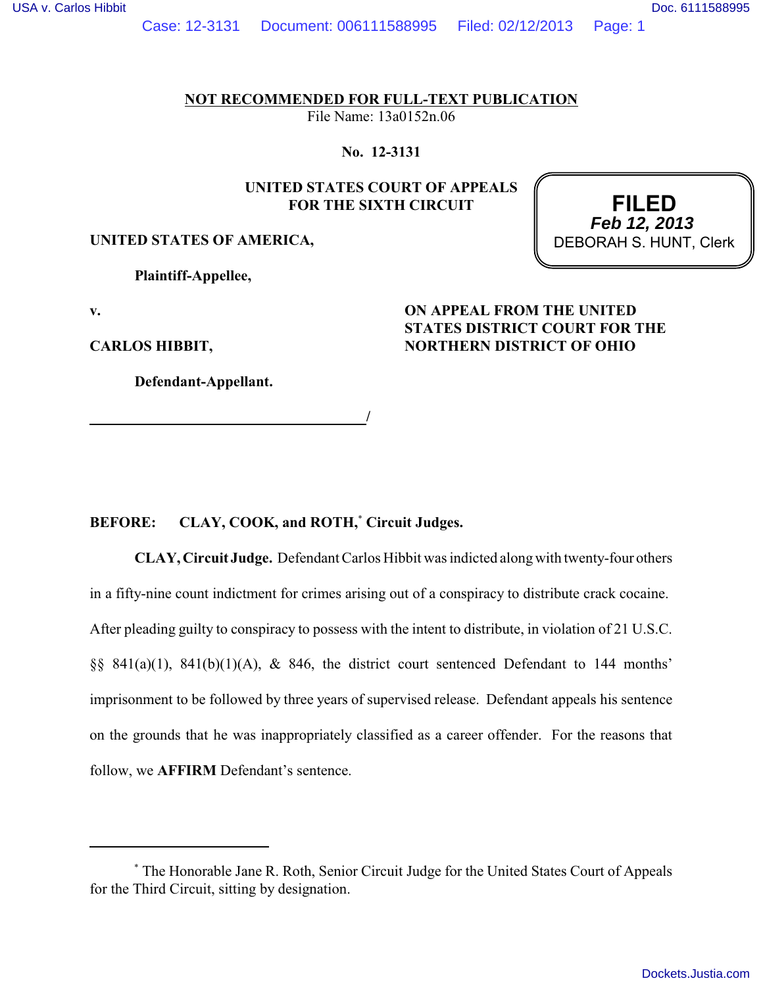Case: 12-3131 Document: 006111588995 Filed: 02/12/2013 Page: 1

**NOT RECOMMENDED FOR FULL-TEXT PUBLICATION**

File Name: 13a0152n.06

**No. 12-3131**

# **UNITED STATES COURT OF APPEALS FOR THE SIXTH CIRCUIT**

# **UNITED STATES OF AMERICA,**

**Plaintiff-Appellee,**

**v.**

**CARLOS HIBBIT,**

**Defendant-Appellant.**

 **/**

# **STATES DISTRICT COURT FOR THE NORTHERN DISTRICT OF OHIO**

**ON APPEAL FROM THE UNITED**

## BEFORE: CLAY, COOK, and ROTH,<sup>\*</sup> Circuit Judges.

**CLAY, Circuit Judge.** Defendant Carlos Hibbit was indicted along with twenty-four others in a fifty-nine count indictment for crimes arising out of a conspiracy to distribute crack cocaine. After pleading guilty to conspiracy to possess with the intent to distribute, in violation of 21 U.S.C. §§  $841(a)(1)$ ,  $841(b)(1)(A)$ , &  $846$ , the district court sentenced Defendant to 144 months' imprisonment to be followed by three years of supervised release. Defendant appeals his sentence on the grounds that he was inappropriately classified as a career offender. For the reasons that follow, we **AFFIRM** Defendant's sentence.

**FILED** DEBORAH S. HUNT, Clerk **Feb 12, 2013**

The Honorable Jane R. Roth, Senior Circuit Judge for the United States Court of Appeals \* for the Third Circuit, sitting by designation.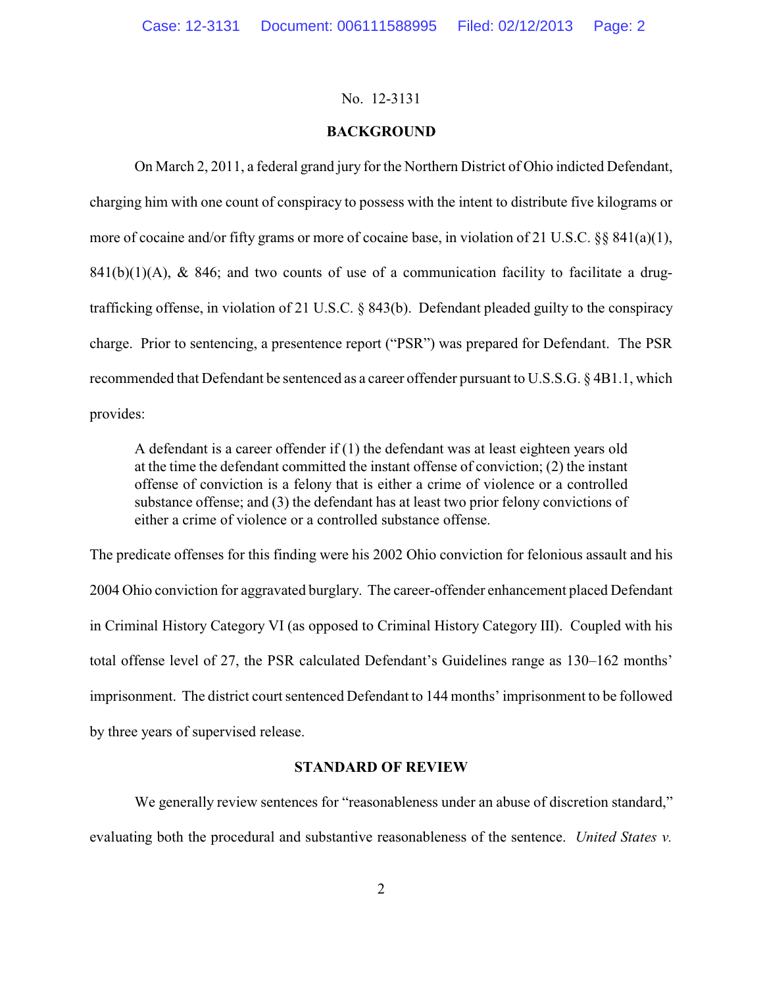# **BACKGROUND**

On March 2, 2011, a federal grand jury for the Northern District of Ohio indicted Defendant, charging him with one count of conspiracy to possess with the intent to distribute five kilograms or more of cocaine and/or fifty grams or more of cocaine base, in violation of 21 U.S.C. §§ 841(a)(1),  $841(b)(1)(A)$ , &  $846$ ; and two counts of use of a communication facility to facilitate a drugtrafficking offense, in violation of 21 U.S.C. § 843(b). Defendant pleaded guilty to the conspiracy charge. Prior to sentencing, a presentence report ("PSR") was prepared for Defendant. The PSR recommended that Defendant be sentenced as a career offender pursuant to U.S.S.G. § 4B1.1, which provides:

A defendant is a career offender if (1) the defendant was at least eighteen years old at the time the defendant committed the instant offense of conviction; (2) the instant offense of conviction is a felony that is either a crime of violence or a controlled substance offense; and (3) the defendant has at least two prior felony convictions of either a crime of violence or a controlled substance offense.

The predicate offenses for this finding were his 2002 Ohio conviction for felonious assault and his 2004 Ohio conviction for aggravated burglary. The career-offender enhancement placed Defendant in Criminal History Category VI (as opposed to Criminal History Category III). Coupled with his total offense level of 27, the PSR calculated Defendant's Guidelines range as 130–162 months' imprisonment. The district court sentenced Defendant to 144 months' imprisonment to be followed by three years of supervised release.

# **STANDARD OF REVIEW**

We generally review sentences for "reasonableness under an abuse of discretion standard," evaluating both the procedural and substantive reasonableness of the sentence. *United States v.*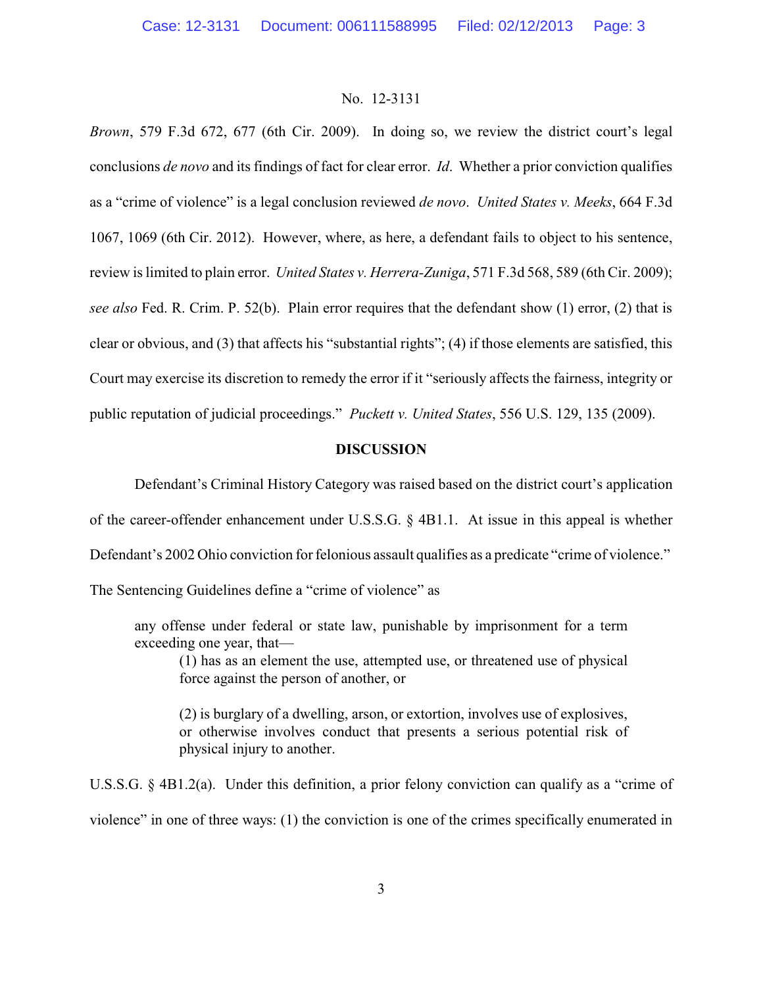*Brown*, 579 F.3d 672, 677 (6th Cir. 2009). In doing so, we review the district court's legal conclusions *de novo* and its findings of fact for clear error. *Id*. Whether a prior conviction qualifies as a "crime of violence" is a legal conclusion reviewed *de novo*. *United States v. Meeks*, 664 F.3d 1067, 1069 (6th Cir. 2012). However, where, as here, a defendant fails to object to his sentence, review is limited to plain error. *United States v. Herrera-Zuniga*, 571 F.3d 568, 589 (6th Cir. 2009); *see also* Fed. R. Crim. P. 52(b). Plain error requires that the defendant show (1) error, (2) that is clear or obvious, and (3) that affects his "substantial rights"; (4) if those elements are satisfied, this Court may exercise its discretion to remedy the error if it "seriously affects the fairness, integrity or public reputation of judicial proceedings." *Puckett v. United States*, 556 U.S. 129, 135 (2009).

# **DISCUSSION**

Defendant's Criminal History Category was raised based on the district court's application of the career-offender enhancement under U.S.S.G. § 4B1.1. At issue in this appeal is whether Defendant's 2002 Ohio conviction for felonious assault qualifies as a predicate "crime of violence."

The Sentencing Guidelines define a "crime of violence" as

any offense under federal or state law, punishable by imprisonment for a term exceeding one year, that—

(1) has as an element the use, attempted use, or threatened use of physical force against the person of another, or

(2) is burglary of a dwelling, arson, or extortion, involves use of explosives, or otherwise involves conduct that presents a serious potential risk of physical injury to another.

U.S.S.G. § 4B1.2(a). Under this definition, a prior felony conviction can qualify as a "crime of violence" in one of three ways: (1) the conviction is one of the crimes specifically enumerated in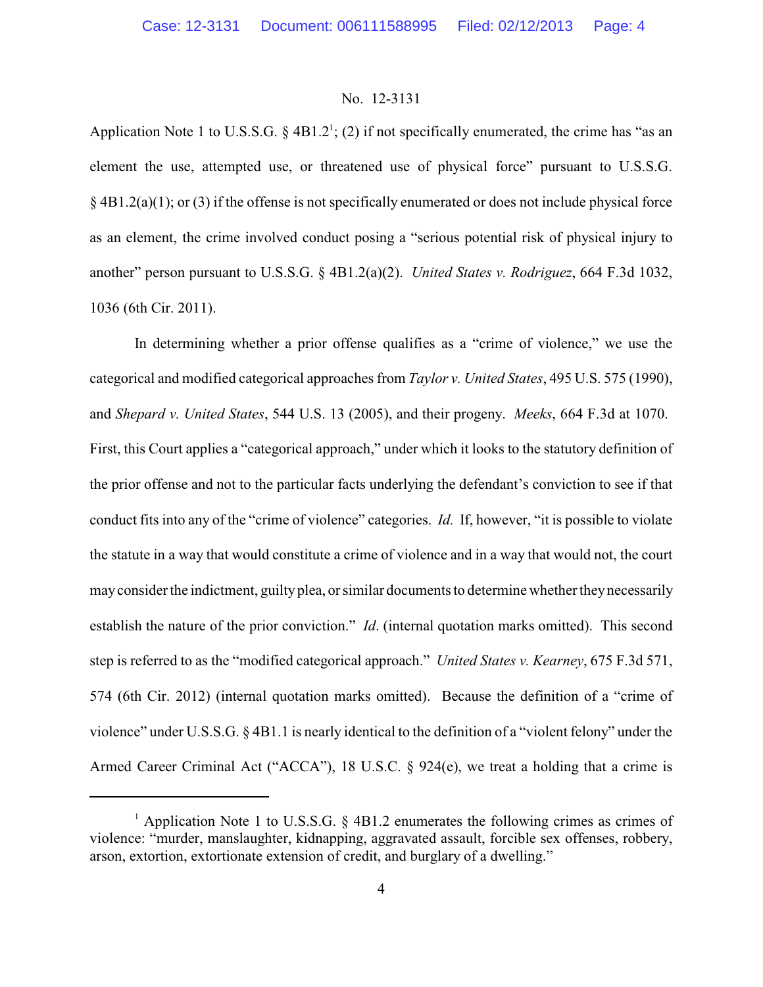Application Note 1 to U.S.S.G.  $\S$  4B1.2<sup>1</sup>; (2) if not specifically enumerated, the crime has "as an element the use, attempted use, or threatened use of physical force" pursuant to U.S.S.G. § 4B1.2(a)(1); or (3) if the offense is not specifically enumerated or does not include physical force as an element, the crime involved conduct posing a "serious potential risk of physical injury to another" person pursuant to U.S.S.G. § 4B1.2(a)(2). *United States v. Rodriguez*, 664 F.3d 1032, 1036 (6th Cir. 2011).

In determining whether a prior offense qualifies as a "crime of violence," we use the categorical and modified categorical approaches from *Taylor v. United States*, 495 U.S. 575 (1990), and *Shepard v. United States*, 544 U.S. 13 (2005), and their progeny. *Meeks*, 664 F.3d at 1070. First, this Court applies a "categorical approach," under which it looks to the statutory definition of the prior offense and not to the particular facts underlying the defendant's conviction to see if that conduct fits into any of the "crime of violence" categories. *Id.* If, however, "it is possible to violate the statute in a way that would constitute a crime of violence and in a way that would not, the court may consider the indictment, guilty plea, or similar documents to determine whether they necessarily establish the nature of the prior conviction." *Id*. (internal quotation marks omitted). This second step is referred to as the "modified categorical approach." *United States v. Kearney*, 675 F.3d 571, 574 (6th Cir. 2012) (internal quotation marks omitted). Because the definition of a "crime of violence" under U.S.S.G. § 4B1.1 is nearly identical to the definition of a "violent felony" under the Armed Career Criminal Act ("ACCA"), 18 U.S.C. § 924(e), we treat a holding that a crime is

<sup>&</sup>lt;sup>1</sup> Application Note 1 to U.S.S.G.  $\S$  4B1.2 enumerates the following crimes as crimes of violence: "murder, manslaughter, kidnapping, aggravated assault, forcible sex offenses, robbery, arson, extortion, extortionate extension of credit, and burglary of a dwelling."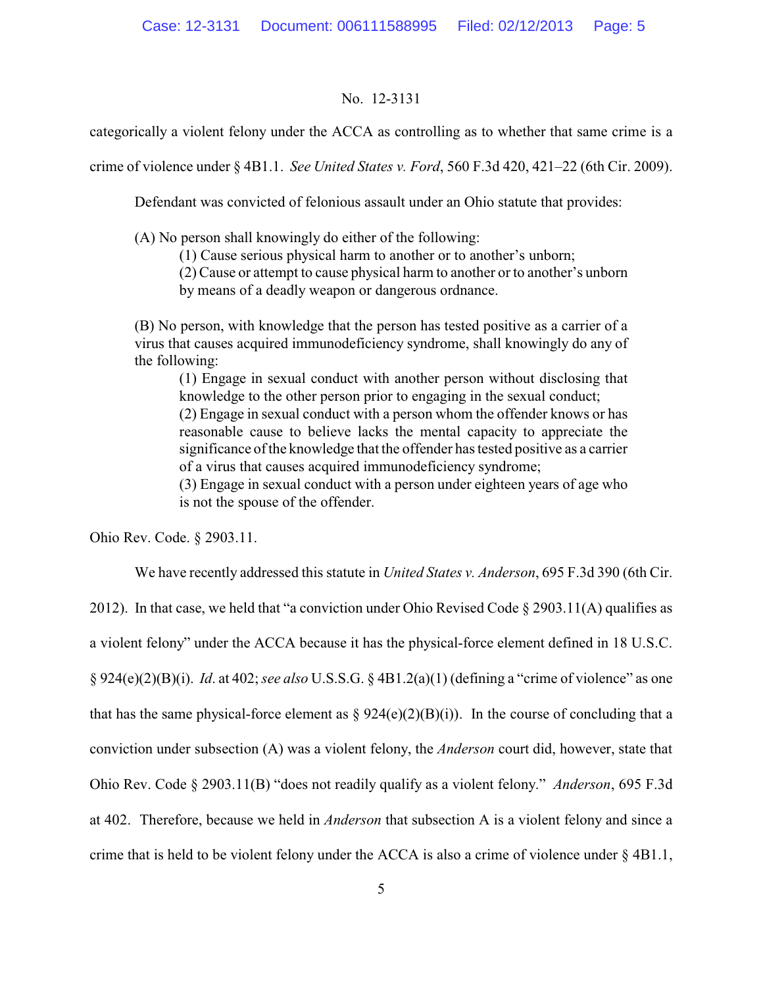categorically a violent felony under the ACCA as controlling as to whether that same crime is a

crime of violence under § 4B1.1. *See United States v. Ford*, 560 F.3d 420, 421–22 (6th Cir. 2009).

Defendant was convicted of felonious assault under an Ohio statute that provides:

(A) No person shall knowingly do either of the following:

(1) Cause serious physical harm to another or to another's unborn;

(2) Cause or attempt to cause physical harm to another or to another's unborn

by means of a deadly weapon or dangerous ordnance.

(B) No person, with knowledge that the person has tested positive as a carrier of a virus that causes acquired immunodeficiency syndrome, shall knowingly do any of the following:

(1) Engage in sexual conduct with another person without disclosing that knowledge to the other person prior to engaging in the sexual conduct; (2) Engage in sexual conduct with a person whom the offender knows or has reasonable cause to believe lacks the mental capacity to appreciate the significance of the knowledge that the offender has tested positive as a carrier of a virus that causes acquired immunodeficiency syndrome;

(3) Engage in sexual conduct with a person under eighteen years of age who is not the spouse of the offender.

Ohio Rev. Code. § 2903.11.

We have recently addressed this statute in *United States v. Anderson*, 695 F.3d 390 (6th Cir.

2012). In that case, we held that "a conviction under Ohio Revised Code  $\S 2903.11(A)$  qualifies as a violent felony" under the ACCA because it has the physical-force element defined in 18 U.S.C. § 924(e)(2)(B)(i). *Id*. at 402; *see also* U.S.S.G. § 4B1.2(a)(1) (defining a "crime of violence" as one that has the same physical-force element as  $\S 924(e)(2)(B)(i)$ . In the course of concluding that a conviction under subsection (A) was a violent felony, the *Anderson* court did, however, state that Ohio Rev. Code § 2903.11(B) "does not readily qualify as a violent felony." *Anderson*, 695 F.3d at 402. Therefore, because we held in *Anderson* that subsection A is a violent felony and since a crime that is held to be violent felony under the ACCA is also a crime of violence under § 4B1.1,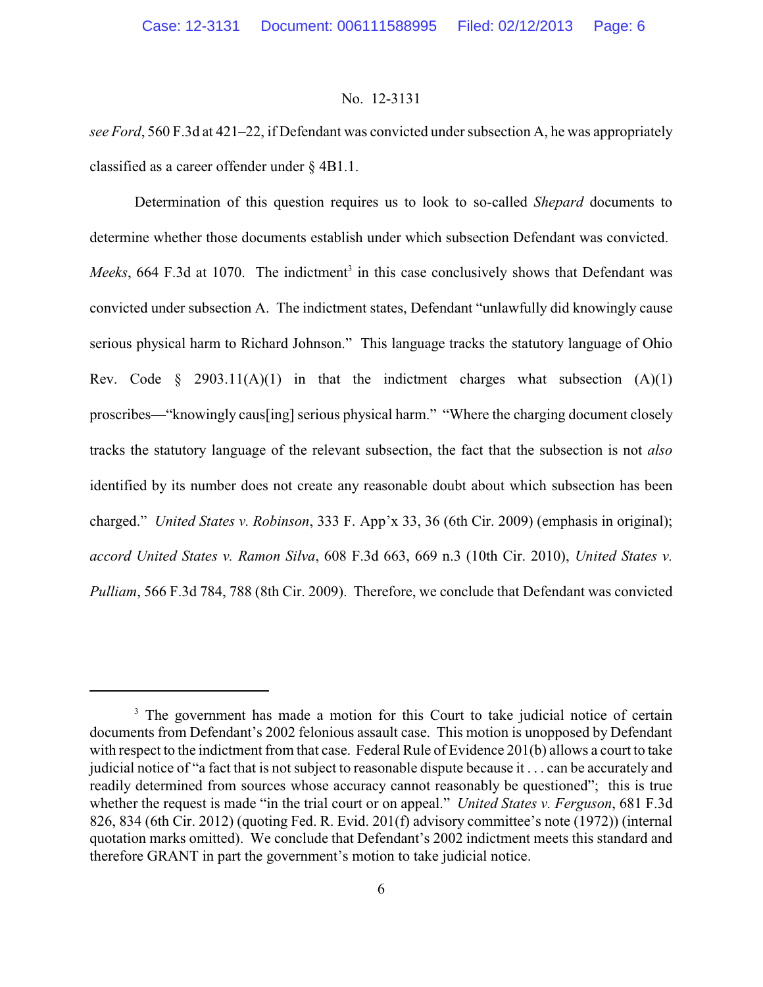*see Ford*, 560 F.3d at 421–22, if Defendant was convicted under subsection A, he was appropriately classified as a career offender under § 4B1.1.

Determination of this question requires us to look to so-called *Shepard* documents to determine whether those documents establish under which subsection Defendant was convicted. *Meeks*, 664 F.3d at 1070. The indictment<sup>3</sup> in this case conclusively shows that Defendant was convicted under subsection A. The indictment states, Defendant "unlawfully did knowingly cause serious physical harm to Richard Johnson." This language tracks the statutory language of Ohio Rev. Code  $\S$  2903.11(A)(1) in that the indictment charges what subsection (A)(1) proscribes—"knowingly caus[ing] serious physical harm." "Where the charging document closely tracks the statutory language of the relevant subsection, the fact that the subsection is not *also* identified by its number does not create any reasonable doubt about which subsection has been charged." *United States v. Robinson*, 333 F. App'x 33, 36 (6th Cir. 2009) (emphasis in original); *accord United States v. Ramon Silva*, 608 F.3d 663, 669 n.3 (10th Cir. 2010), *United States v. Pulliam*, 566 F.3d 784, 788 (8th Cir. 2009). Therefore, we conclude that Defendant was convicted

<sup>&</sup>lt;sup>3</sup> The government has made a motion for this Court to take judicial notice of certain documents from Defendant's 2002 felonious assault case. This motion is unopposed by Defendant with respect to the indictment from that case. Federal Rule of Evidence 201(b) allows a court to take judicial notice of "a fact that is not subject to reasonable dispute because it . . . can be accurately and readily determined from sources whose accuracy cannot reasonably be questioned"; this is true whether the request is made "in the trial court or on appeal." *United States v. Ferguson*, 681 F.3d 826, 834 (6th Cir. 2012) (quoting Fed. R. Evid. 201(f) advisory committee's note (1972)) (internal quotation marks omitted). We conclude that Defendant's 2002 indictment meets this standard and therefore GRANT in part the government's motion to take judicial notice.